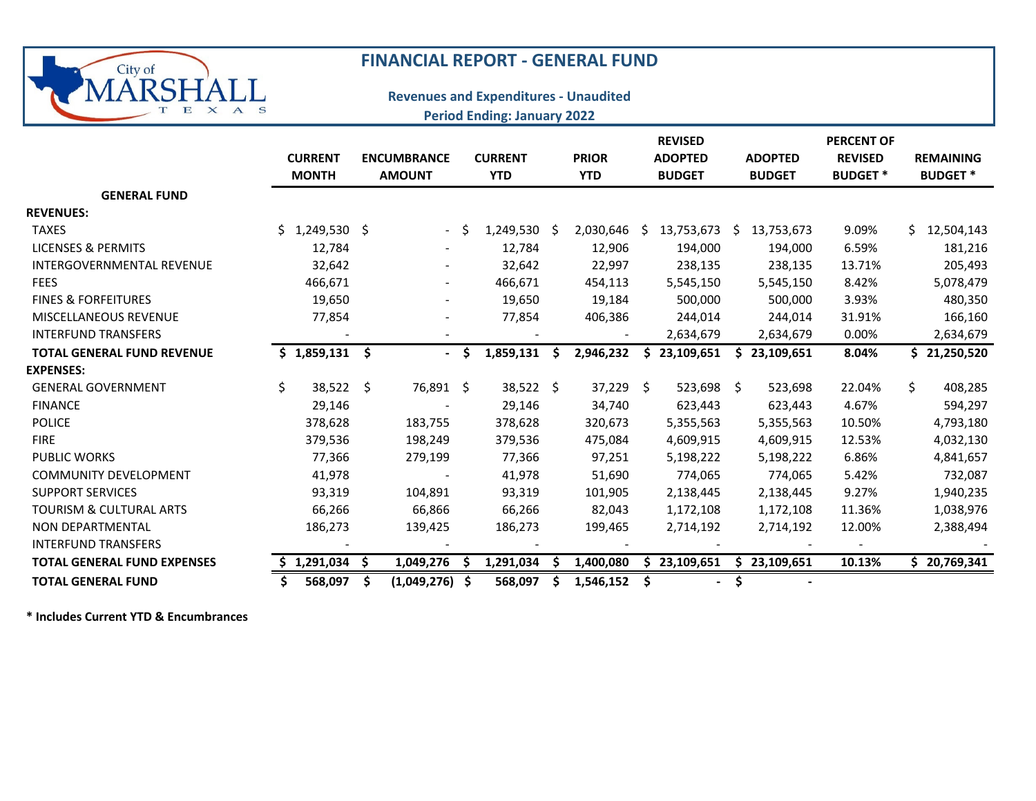

## **FINANCIAL REPORT ‐ GENERAL FUND**

## **Revenues and Expenditures ‐ Unaudited Period Ending: January 2022**

|                                    | <b>CURRENT</b><br><b>MONTH</b> | <b>ENCUMBRANCE</b><br><b>AMOUNT</b> |                | <b>CURRENT</b><br><b>YTD</b> |           |    | <b>PRIOR</b><br><b>YTD</b> |                     | <b>REVISED</b><br><b>ADOPTED</b><br><b>BUDGET</b> |    | <b>ADOPTED</b><br><b>BUDGET</b> | <b>PERCENT OF</b><br><b>REVISED</b><br><b>BUDGET*</b> | <b>REMAINING</b><br><b>BUDGET*</b> |              |
|------------------------------------|--------------------------------|-------------------------------------|----------------|------------------------------|-----------|----|----------------------------|---------------------|---------------------------------------------------|----|---------------------------------|-------------------------------------------------------|------------------------------------|--------------|
| <b>GENERAL FUND</b>                |                                |                                     |                |                              |           |    |                            |                     |                                                   |    |                                 |                                                       |                                    |              |
| <b>REVENUES:</b>                   |                                |                                     |                |                              |           |    |                            |                     |                                                   |    |                                 |                                                       |                                    |              |
| <b>TAXES</b>                       | 1,249,530 \$<br>Ś.             |                                     | $\sim$         | - Ś                          | 1,249,530 | -S | 2,030,646                  | Ŝ.                  | 13,753,673                                        | S. | 13,753,673                      | 9.09%                                                 | S.                                 | 12,504,143   |
| LICENSES & PERMITS                 | 12,784                         |                                     |                |                              | 12,784    |    | 12,906                     |                     | 194,000                                           |    | 194,000                         | 6.59%                                                 |                                    | 181,216      |
| <b>INTERGOVERNMENTAL REVENUE</b>   | 32,642                         |                                     |                |                              | 32,642    |    | 22,997                     |                     | 238,135                                           |    | 238,135                         | 13.71%                                                |                                    | 205,493      |
| <b>FEES</b>                        | 466,671                        |                                     |                |                              | 466,671   |    | 454,113                    |                     | 5,545,150                                         |    | 5,545,150                       | 8.42%                                                 |                                    | 5,078,479    |
| <b>FINES &amp; FORFEITURES</b>     | 19,650                         |                                     |                |                              | 19,650    |    | 19,184                     |                     | 500,000                                           |    | 500,000                         | 3.93%                                                 |                                    | 480,350      |
| <b>MISCELLANEOUS REVENUE</b>       | 77,854                         |                                     |                |                              | 77,854    |    | 406,386                    |                     | 244,014                                           |    | 244,014                         | 31.91%                                                |                                    | 166,160      |
| <b>INTERFUND TRANSFERS</b>         |                                |                                     |                |                              |           |    |                            |                     | 2,634,679                                         |    | 2,634,679                       | 0.00%                                                 |                                    | 2,634,679    |
| <b>TOTAL GENERAL FUND REVENUE</b>  | $$1,859,131$ \$                |                                     | $\blacksquare$ | <b>S</b>                     | 1,859,131 | S  | 2,946,232                  |                     | 23,109,651                                        |    | 23,109,651                      | 8.04%                                                 |                                    | \$21,250,520 |
| <b>EXPENSES:</b>                   |                                |                                     |                |                              |           |    |                            |                     |                                                   |    |                                 |                                                       |                                    |              |
| <b>GENERAL GOVERNMENT</b>          | Ś.<br>38,522                   | \$                                  | 76,891 \$      |                              | 38,522 \$ |    | 37,229                     | $\ddot{\mathsf{S}}$ | 523,698                                           | -S | 523,698                         | 22.04%                                                | \$                                 | 408,285      |
| <b>FINANCE</b>                     | 29,146                         |                                     |                |                              | 29,146    |    | 34,740                     |                     | 623,443                                           |    | 623,443                         | 4.67%                                                 |                                    | 594,297      |
| <b>POLICE</b>                      | 378,628                        |                                     | 183,755        |                              | 378,628   |    | 320,673                    |                     | 5,355,563                                         |    | 5,355,563                       | 10.50%                                                |                                    | 4,793,180    |
| <b>FIRE</b>                        | 379,536                        |                                     | 198,249        |                              | 379,536   |    | 475,084                    |                     | 4,609,915                                         |    | 4,609,915                       | 12.53%                                                |                                    | 4,032,130    |
| <b>PUBLIC WORKS</b>                | 77,366                         |                                     | 279,199        |                              | 77,366    |    | 97,251                     |                     | 5,198,222                                         |    | 5,198,222                       | 6.86%                                                 |                                    | 4,841,657    |
| <b>COMMUNITY DEVELOPMENT</b>       | 41,978                         |                                     |                |                              | 41,978    |    | 51,690                     |                     | 774,065                                           |    | 774,065                         | 5.42%                                                 |                                    | 732,087      |
| <b>SUPPORT SERVICES</b>            | 93,319                         |                                     | 104,891        |                              | 93,319    |    | 101,905                    |                     | 2,138,445                                         |    | 2,138,445                       | 9.27%                                                 |                                    | 1,940,235    |
| TOURISM & CULTURAL ARTS            | 66,266                         |                                     | 66,866         |                              | 66,266    |    | 82,043                     |                     | 1,172,108                                         |    | 1,172,108                       | 11.36%                                                |                                    | 1,038,976    |
| <b>NON DEPARTMENTAL</b>            | 186,273                        |                                     | 139,425        |                              | 186,273   |    | 199,465                    |                     | 2,714,192                                         |    | 2,714,192                       | 12.00%                                                |                                    | 2,388,494    |
| <b>INTERFUND TRANSFERS</b>         |                                |                                     |                |                              |           |    |                            |                     |                                                   |    |                                 |                                                       |                                    |              |
| <b>TOTAL GENERAL FUND EXPENSES</b> | 1,291,034                      | S                                   | 1,049,276      | S                            | 1,291,034 |    | 1,400,080                  | S                   | 23,109,651                                        | S. | 23,109,651                      | 10.13%                                                |                                    | \$20,769,341 |
| <b>TOTAL GENERAL FUND</b>          | 568,097                        | \$.                                 | (1,049,276)    | -\$                          | 568,097   |    | 1,546,152                  |                     |                                                   |    |                                 |                                                       |                                    |              |

**\* Includes Current YTD & Encumbrances**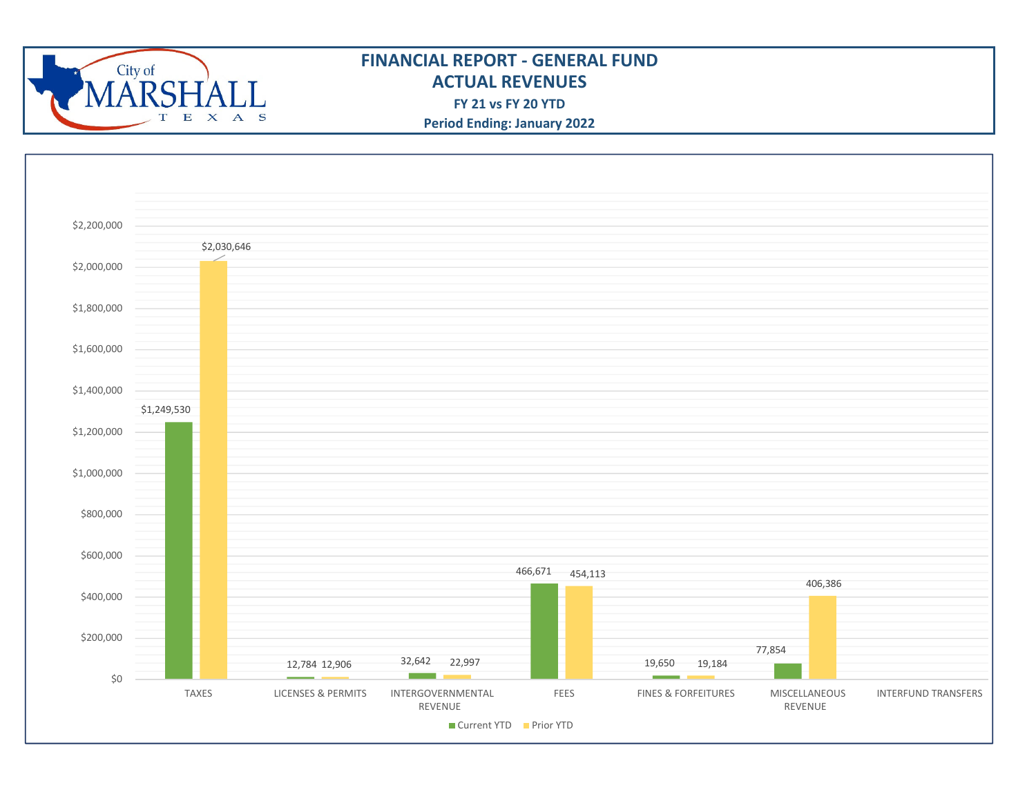

## **FINANCIAL REPORT ‐ GENERAL FUNDACTUAL REVENUESFY 21 vs FY 20 YTD**

**Period Ending: January 2022**

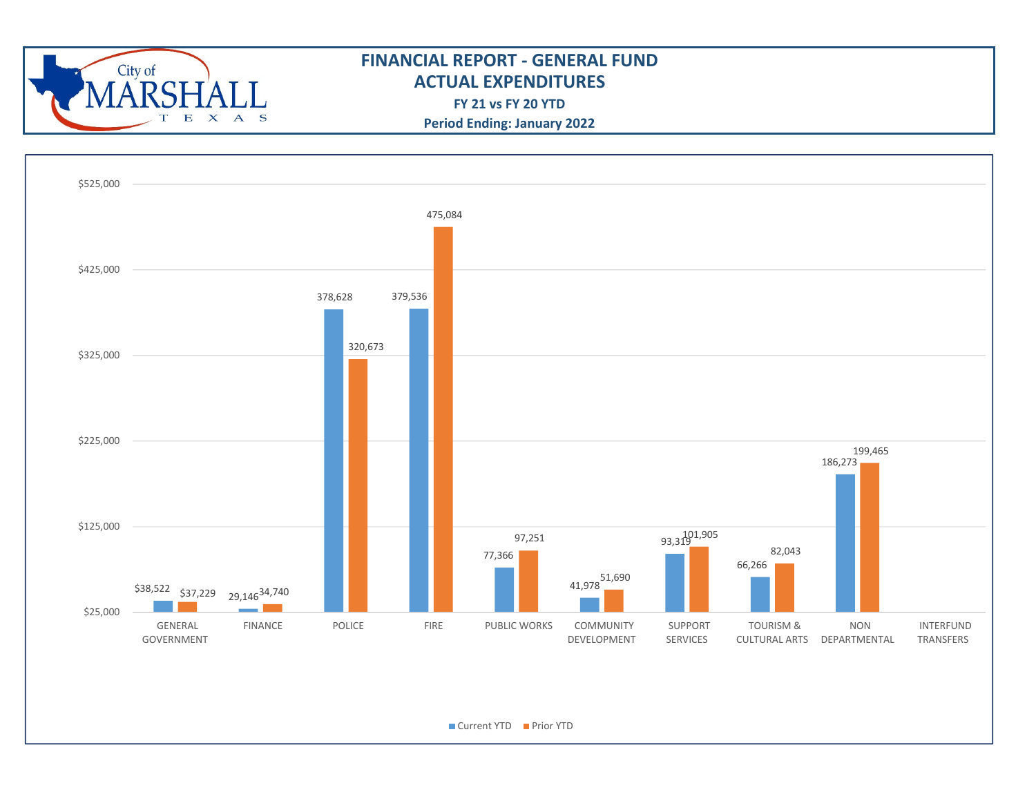

## **ACTUAL EXPENDITURES FINANCIAL REPORT ‐ GENERAL FUND**

**FY 21 vs FY 20 YTD**

**Period Ending: January 2022**

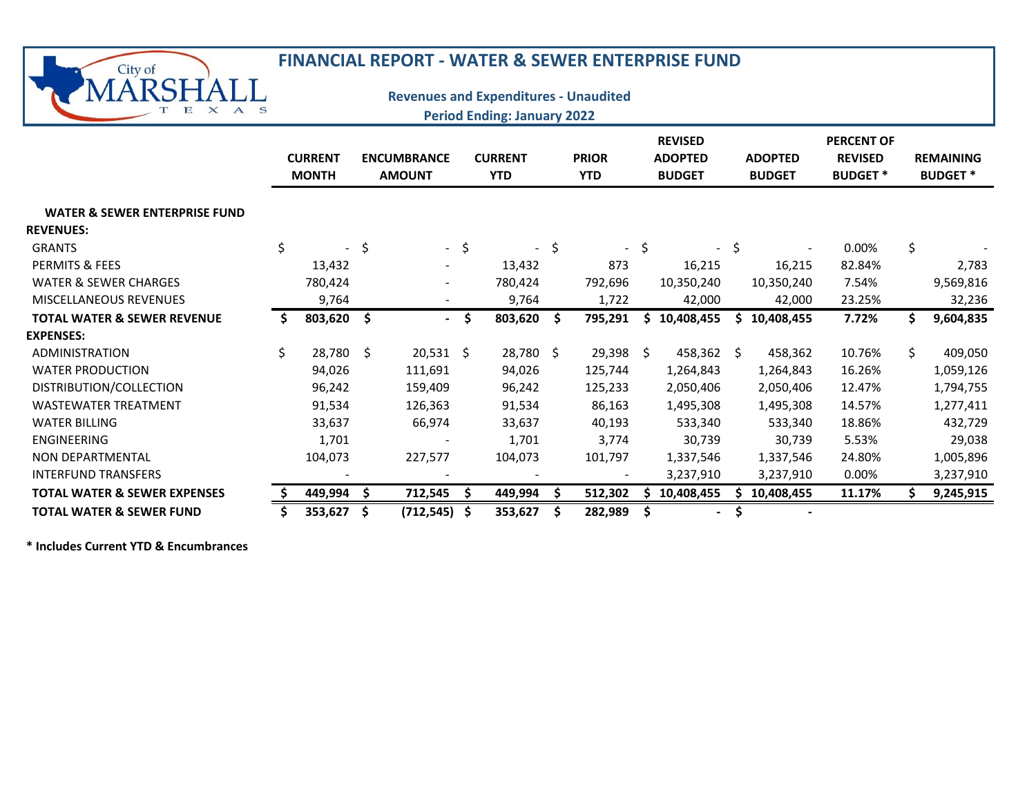| City of                                  |                                |    | <b>FINANCIAL REPORT - WATER &amp; SEWER ENTERPRISE FUND</b> |        |                                                                                    |        |                            |      |                                                   |                                 |                                                       |    |                                    |
|------------------------------------------|--------------------------------|----|-------------------------------------------------------------|--------|------------------------------------------------------------------------------------|--------|----------------------------|------|---------------------------------------------------|---------------------------------|-------------------------------------------------------|----|------------------------------------|
| Е<br>$\mathbf x$<br>$A$ S                |                                |    |                                                             |        | <b>Revenues and Expenditures - Unaudited</b><br><b>Period Ending: January 2022</b> |        |                            |      |                                                   |                                 |                                                       |    |                                    |
|                                          | <b>CURRENT</b><br><b>MONTH</b> |    | <b>ENCUMBRANCE</b><br><b>AMOUNT</b>                         |        | <b>CURRENT</b><br><b>YTD</b>                                                       |        | <b>PRIOR</b><br><b>YTD</b> |      | <b>REVISED</b><br><b>ADOPTED</b><br><b>BUDGET</b> | <b>ADOPTED</b><br><b>BUDGET</b> | <b>PERCENT OF</b><br><b>REVISED</b><br><b>BUDGET*</b> |    | <b>REMAINING</b><br><b>BUDGET*</b> |
| <b>WATER &amp; SEWER ENTERPRISE FUND</b> |                                |    |                                                             |        |                                                                                    |        |                            |      |                                                   |                                 |                                                       |    |                                    |
| <b>REVENUES:</b>                         |                                |    |                                                             |        |                                                                                    |        |                            |      |                                                   |                                 |                                                       |    |                                    |
| <b>GRANTS</b>                            | \$                             | \$ |                                                             | $-$ \$ |                                                                                    | $-$ \$ |                            | - \$ |                                                   | \$                              | 0.00%                                                 | \$ |                                    |
| PERMITS & FEES                           | 13,432                         |    |                                                             |        | 13,432                                                                             |        | 873                        |      | 16,215                                            | 16,215                          | 82.84%                                                |    | 2,783                              |
| WATER & SEWER CHARGES                    | 780,424                        |    |                                                             |        | 780,424                                                                            |        | 792,696                    |      | 10,350,240                                        | 10,350,240                      | 7.54%                                                 |    | 9,569,816                          |
| <b>MISCELLANEOUS REVENUES</b>            | 9,764                          |    |                                                             |        | 9,764                                                                              |        | 1,722                      |      | 42,000                                            | 42,000                          | 23.25%                                                |    | 32,236                             |
| <b>TOTAL WATER &amp; SEWER REVENUE</b>   | 803,620 \$                     |    |                                                             | - \$   | 803,620                                                                            | Ŝ.     | 795,291                    | \$.  | 10,408,455                                        | \$10,408,455                    | 7.72%                                                 | \$ | 9,604,835                          |
| <b>EXPENSES:</b>                         |                                |    |                                                             |        |                                                                                    |        |                            |      |                                                   |                                 |                                                       |    |                                    |
| <b>ADMINISTRATION</b>                    | \$<br>28,780 \$                |    | $20,531$ \$                                                 |        | 28,780 \$                                                                          |        | $29,398$ \$                |      | 458,362 \$                                        | 458,362                         | 10.76%                                                | \$ | 409,050                            |
| <b>WATER PRODUCTION</b>                  | 94,026                         |    | 111,691                                                     |        | 94,026                                                                             |        | 125,744                    |      | 1,264,843                                         | 1,264,843                       | 16.26%                                                |    | 1,059,126                          |
| DISTRIBUTION/COLLECTION                  | 96,242                         |    | 159,409                                                     |        | 96,242                                                                             |        | 125,233                    |      | 2,050,406                                         | 2,050,406                       | 12.47%                                                |    | 1,794,755                          |
| <b>WASTEWATER TREATMENT</b>              | 91,534                         |    | 126,363                                                     |        | 91,534                                                                             |        | 86,163                     |      | 1,495,308                                         | 1,495,308                       | 14.57%                                                |    | 1,277,411                          |
| <b>WATER BILLING</b>                     | 33,637                         |    | 66,974                                                      |        | 33,637                                                                             |        | 40,193                     |      | 533,340                                           | 533,340                         | 18.86%                                                |    | 432,729                            |
| <b>ENGINEERING</b>                       | 1,701                          |    |                                                             |        | 1,701                                                                              |        | 3,774                      |      | 30,739                                            | 30,739                          | 5.53%                                                 |    | 29,038                             |
| NON DEPARTMENTAL                         | 104,073                        |    | 227,577                                                     |        | 104,073                                                                            |        | 101,797                    |      | 1,337,546                                         | 1,337,546                       | 24.80%                                                |    | 1,005,896                          |
| <b>INTERFUND TRANSFERS</b>               |                                |    |                                                             |        |                                                                                    |        | $\blacksquare$             |      | 3,237,910                                         | 3,237,910                       | 0.00%                                                 |    | 3,237,910                          |
| <b>TOTAL WATER &amp; SEWER EXPENSES</b>  | 449,994                        | -S | 712,545                                                     | Ŝ.     | 449,994                                                                            | Ŝ.     | 512,302                    | S    | 10,408,455                                        | \$10,408,455                    | 11.17%                                                | Ŝ  | 9,245,915                          |
| <b>TOTAL WATER &amp; SEWER FUND</b>      | 353,627                        | Ŝ  | (712, 545)                                                  | - Ś    | 353,627                                                                            |        | 282,989                    |      |                                                   |                                 |                                                       |    |                                    |

**\* Includes Current YTD & Encumbrances**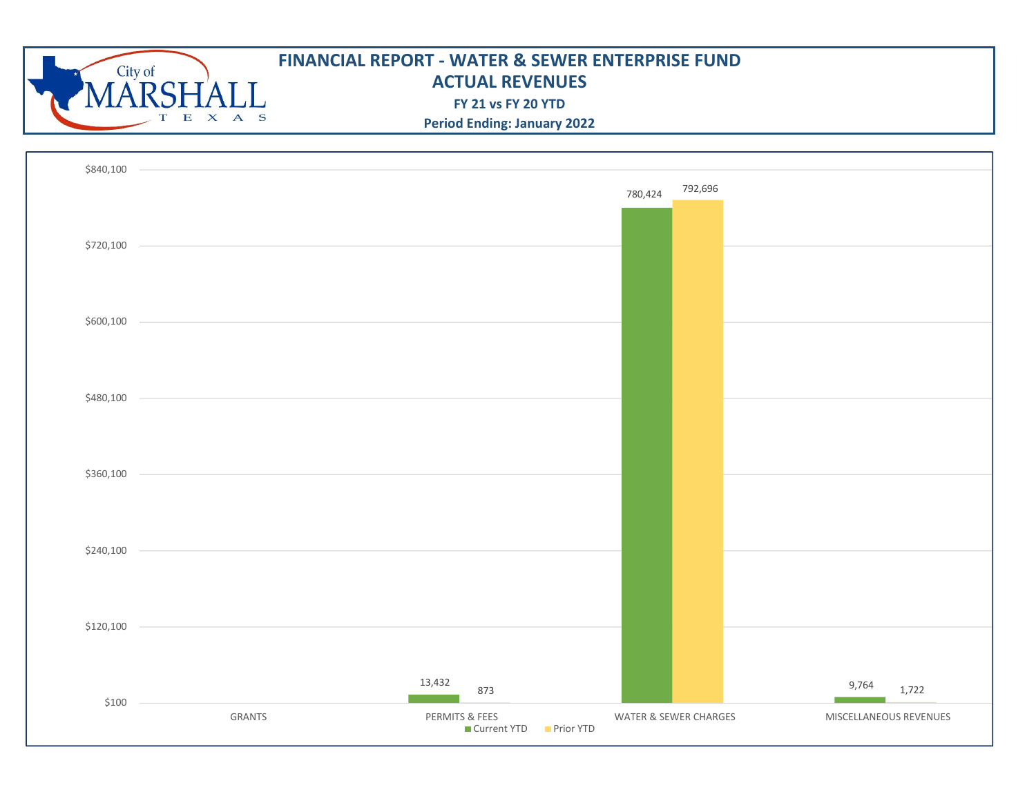

| \$840,100    |        |                                                                                           |                       |                        |
|--------------|--------|-------------------------------------------------------------------------------------------|-----------------------|------------------------|
|              |        |                                                                                           | 792,696<br>780,424    |                        |
|              |        |                                                                                           |                       |                        |
| \$720,100    |        |                                                                                           |                       |                        |
|              |        |                                                                                           |                       |                        |
|              |        |                                                                                           |                       |                        |
|              |        |                                                                                           |                       |                        |
| $$600,100$ - |        |                                                                                           |                       |                        |
|              |        |                                                                                           |                       |                        |
|              |        |                                                                                           |                       |                        |
| \$480,100 -  |        |                                                                                           |                       |                        |
|              |        |                                                                                           |                       |                        |
|              |        |                                                                                           |                       |                        |
| $$360,100$ - |        | the control of the control of the control of the control of the control of the control of |                       |                        |
|              |        |                                                                                           |                       |                        |
|              |        |                                                                                           |                       |                        |
| $$240,100$ - |        |                                                                                           |                       |                        |
|              |        |                                                                                           |                       |                        |
|              |        |                                                                                           |                       |                        |
| $$120,100$ - |        |                                                                                           |                       |                        |
|              |        |                                                                                           |                       |                        |
|              |        |                                                                                           |                       |                        |
| $$100 -$     |        | 13,432<br>873                                                                             |                       | 9,764<br>1,722         |
|              | GRANTS | PERMITS & FEES<br>■ Current YTD ■ Prior YTD                                               | WATER & SEWER CHARGES | MISCELLANEOUS REVENUES |